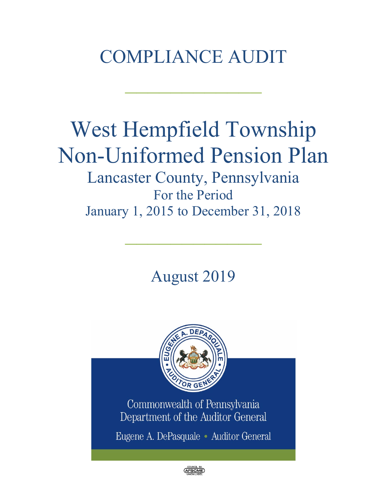# COMPLIANCE AUDIT

 $\frac{1}{2}$ 

# West Hempfield Township Non-Uniformed Pension Plan Lancaster County, Pennsylvania For the Period

January 1, 2015 to December 31, 2018

 $\frac{1}{2}$ 

August 2019



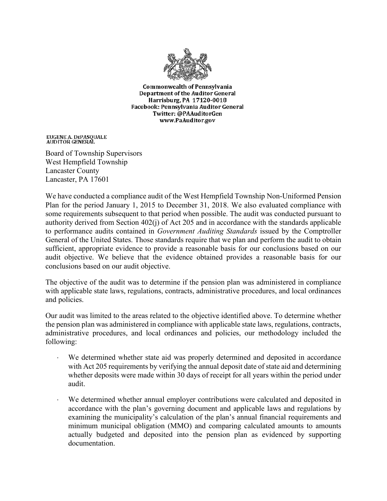

**Commonwealth of Pennsylvania Department of the Auditor General** Harrisburg, PA 17120-0018 Facebook: Pennsylvania Auditor General Twitter: @PAAuditorGen www.PaAuditor.gov

EUGENE A. DEPASQUALE<br>AUDITOR GENERAL

Board of Township Supervisors West Hempfield Township Lancaster County Lancaster, PA 17601

We have conducted a compliance audit of the West Hempfield Township Non-Uniformed Pension Plan for the period January 1, 2015 to December 31, 2018. We also evaluated compliance with some requirements subsequent to that period when possible. The audit was conducted pursuant to authority derived from Section 402(j) of Act 205 and in accordance with the standards applicable to performance audits contained in *Government Auditing Standards* issued by the Comptroller General of the United States. Those standards require that we plan and perform the audit to obtain sufficient, appropriate evidence to provide a reasonable basis for our conclusions based on our audit objective. We believe that the evidence obtained provides a reasonable basis for our conclusions based on our audit objective.

The objective of the audit was to determine if the pension plan was administered in compliance with applicable state laws, regulations, contracts, administrative procedures, and local ordinances and policies.

Our audit was limited to the areas related to the objective identified above. To determine whether the pension plan was administered in compliance with applicable state laws, regulations, contracts, administrative procedures, and local ordinances and policies, our methodology included the following:

- We determined whether state aid was properly determined and deposited in accordance with Act 205 requirements by verifying the annual deposit date of state aid and determining whether deposits were made within 30 days of receipt for all years within the period under audit.
- We determined whether annual employer contributions were calculated and deposited in accordance with the plan's governing document and applicable laws and regulations by examining the municipality's calculation of the plan's annual financial requirements and minimum municipal obligation (MMO) and comparing calculated amounts to amounts actually budgeted and deposited into the pension plan as evidenced by supporting documentation.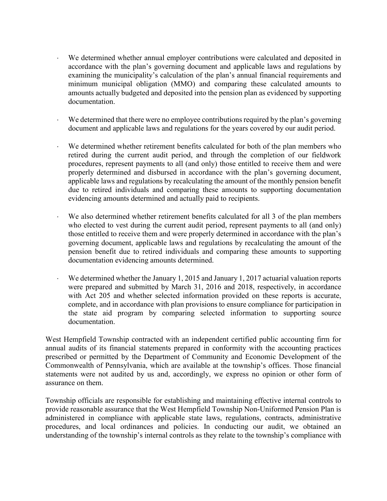- We determined whether annual employer contributions were calculated and deposited in accordance with the plan's governing document and applicable laws and regulations by examining the municipality's calculation of the plan's annual financial requirements and minimum municipal obligation (MMO) and comparing these calculated amounts to amounts actually budgeted and deposited into the pension plan as evidenced by supporting documentation.
- We determined that there were no employee contributions required by the plan's governing document and applicable laws and regulations for the years covered by our audit period.
- We determined whether retirement benefits calculated for both of the plan members who retired during the current audit period, and through the completion of our fieldwork procedures, represent payments to all (and only) those entitled to receive them and were properly determined and disbursed in accordance with the plan's governing document, applicable laws and regulations by recalculating the amount of the monthly pension benefit due to retired individuals and comparing these amounts to supporting documentation evidencing amounts determined and actually paid to recipients.
- We also determined whether retirement benefits calculated for all 3 of the plan members who elected to vest during the current audit period, represent payments to all (and only) those entitled to receive them and were properly determined in accordance with the plan's governing document, applicable laws and regulations by recalculating the amount of the pension benefit due to retired individuals and comparing these amounts to supporting documentation evidencing amounts determined.
- We determined whether the January 1, 2015 and January 1, 2017 actuarial valuation reports were prepared and submitted by March 31, 2016 and 2018, respectively, in accordance with Act 205 and whether selected information provided on these reports is accurate, complete, and in accordance with plan provisions to ensure compliance for participation in the state aid program by comparing selected information to supporting source documentation.

West Hempfield Township contracted with an independent certified public accounting firm for annual audits of its financial statements prepared in conformity with the accounting practices prescribed or permitted by the Department of Community and Economic Development of the Commonwealth of Pennsylvania, which are available at the township's offices. Those financial statements were not audited by us and, accordingly, we express no opinion or other form of assurance on them.

Township officials are responsible for establishing and maintaining effective internal controls to provide reasonable assurance that the West Hempfield Township Non-Uniformed Pension Plan is administered in compliance with applicable state laws, regulations, contracts, administrative procedures, and local ordinances and policies. In conducting our audit, we obtained an understanding of the township's internal controls as they relate to the township's compliance with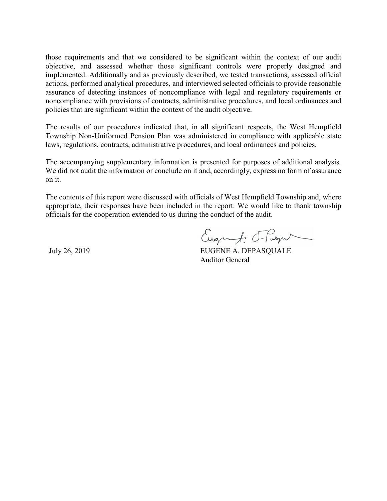those requirements and that we considered to be significant within the context of our audit objective, and assessed whether those significant controls were properly designed and implemented. Additionally and as previously described, we tested transactions, assessed official actions, performed analytical procedures, and interviewed selected officials to provide reasonable assurance of detecting instances of noncompliance with legal and regulatory requirements or noncompliance with provisions of contracts, administrative procedures, and local ordinances and policies that are significant within the context of the audit objective.

The results of our procedures indicated that, in all significant respects, the West Hempfield Township Non-Uniformed Pension Plan was administered in compliance with applicable state laws, regulations, contracts, administrative procedures, and local ordinances and policies.

The accompanying supplementary information is presented for purposes of additional analysis. We did not audit the information or conclude on it and, accordingly, express no form of assurance on it.

The contents of this report were discussed with officials of West Hempfield Township and, where appropriate, their responses have been included in the report. We would like to thank township officials for the cooperation extended to us during the conduct of the audit.

Eugenf. Frage

July 26, 2019 EUGENE A. DEPASQUALE Auditor General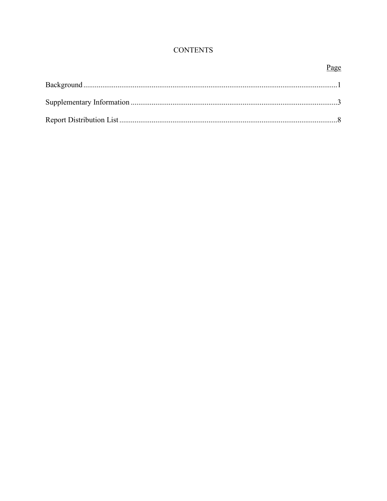## **CONTENTS**

## Page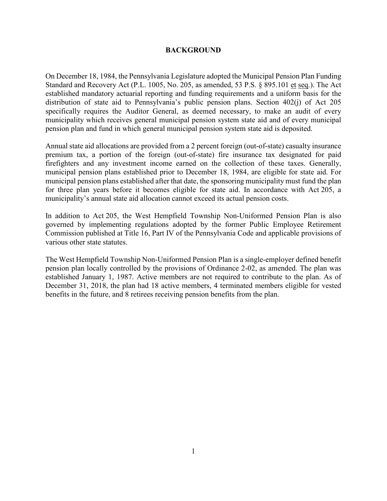#### **BACKGROUND**

On December 18, 1984, the Pennsylvania Legislature adopted the Municipal Pension Plan Funding Standard and Recovery Act (P.L. 1005, No. 205, as amended, 53 P.S. § 895.101 et seq.). The Act established mandatory actuarial reporting and funding requirements and a uniform basis for the distribution of state aid to Pennsylvania's public pension plans. Section 402(j) of Act 205 specifically requires the Auditor General, as deemed necessary, to make an audit of every municipality which receives general municipal pension system state aid and of every municipal pension plan and fund in which general municipal pension system state aid is deposited.

Annual state aid allocations are provided from a 2 percent foreign (out-of-state) casualty insurance premium tax, a portion of the foreign (out-of-state) fire insurance tax designated for paid firefighters and any investment income earned on the collection of these taxes. Generally, municipal pension plans established prior to December 18, 1984, are eligible for state aid. For municipal pension plans established after that date, the sponsoring municipality must fund the plan for three plan years before it becomes eligible for state aid. In accordance with Act 205, a municipality's annual state aid allocation cannot exceed its actual pension costs.

In addition to Act 205, the West Hempfield Township Non-Uniformed Pension Plan is also governed by implementing regulations adopted by the former Public Employee Retirement Commission published at Title 16, Part IV of the Pennsylvania Code and applicable provisions of various other state statutes.

The West Hempfield Township Non-Uniformed Pension Plan is a single-employer defined benefit pension plan locally controlled by the provisions of Ordinance 2-02, as amended. The plan was established January 1, 1987. Active members are not required to contribute to the plan. As of December 31, 2018, the plan had 18 active members, 4 terminated members eligible for vested benefits in the future, and 8 retirees receiving pension benefits from the plan.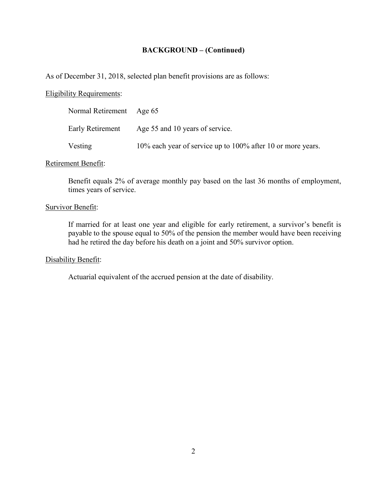## **BACKGROUND – (Continued)**

As of December 31, 2018, selected plan benefit provisions are as follows:

## Eligibility Requirements:

| Normal Retirement Age 65 |                                                             |
|--------------------------|-------------------------------------------------------------|
| Early Retirement         | Age 55 and 10 years of service.                             |
| Vesting                  | 10% each year of service up to 100% after 10 or more years. |

## Retirement Benefit:

Benefit equals 2% of average monthly pay based on the last 36 months of employment, times years of service.

#### Survivor Benefit:

If married for at least one year and eligible for early retirement, a survivor's benefit is payable to the spouse equal to 50% of the pension the member would have been receiving had he retired the day before his death on a joint and 50% survivor option.

#### Disability Benefit:

Actuarial equivalent of the accrued pension at the date of disability.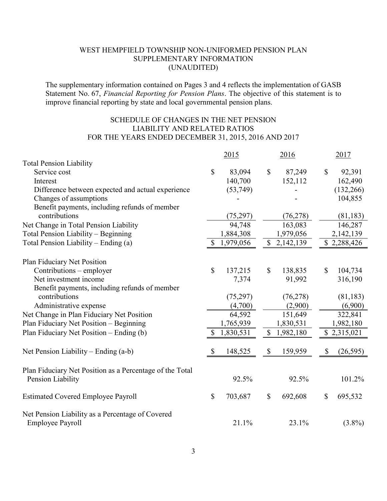The supplementary information contained on Pages 3 and 4 reflects the implementation of GASB Statement No. 67, *Financial Reporting for Pension Plans*. The objective of this statement is to improve financial reporting by state and local governmental pension plans.

## SCHEDULE OF CHANGES IN THE NET PENSION LIABILITY AND RELATED RATIOS FOR THE YEARS ENDED DECEMBER 31, 2015, 2016 AND 2017

|                                                          |              | 2015      |              | 2016        |                           | 2017        |
|----------------------------------------------------------|--------------|-----------|--------------|-------------|---------------------------|-------------|
| <b>Total Pension Liability</b>                           |              |           |              |             |                           |             |
| Service cost                                             | $\mathbb{S}$ | 83,094    | $\mathbb{S}$ | 87,249      | $\boldsymbol{\mathsf{S}}$ | 92,391      |
| Interest                                                 |              | 140,700   |              | 152,112     |                           | 162,490     |
| Difference between expected and actual experience        |              | (53,749)  |              |             |                           | (132, 266)  |
| Changes of assumptions                                   |              |           |              |             |                           | 104,855     |
| Benefit payments, including refunds of member            |              |           |              |             |                           |             |
| contributions                                            |              | (75, 297) |              | (76, 278)   |                           | (81, 183)   |
| Net Change in Total Pension Liability                    |              | 94,748    |              | 163,083     |                           | 146,287     |
| Total Pension Liability - Beginning                      |              | 1,884,308 |              | 1,979,056   |                           | 2,142,139   |
| Total Pension Liability – Ending (a)                     | $\mathbb{S}$ | 1,979,056 |              | \$2,142,139 |                           | \$2,288,426 |
| Plan Fiduciary Net Position                              |              |           |              |             |                           |             |
| Contributions – employer                                 | \$           | 137,215   | $\mathbb{S}$ | 138,835     | \$                        | 104,734     |
| Net investment income                                    |              | 7,374     |              | 91,992      |                           | 316,190     |
| Benefit payments, including refunds of member            |              |           |              |             |                           |             |
| contributions                                            |              | (75,297)  |              | (76, 278)   |                           | (81, 183)   |
| Administrative expense                                   |              | (4,700)   |              | (2,900)     |                           | (6,900)     |
| Net Change in Plan Fiduciary Net Position                |              | 64,592    |              | 151,649     |                           | 322,841     |
| Plan Fiduciary Net Position - Beginning                  |              | 1,765,939 |              | 1,830,531   |                           | 1,982,180   |
| Plan Fiduciary Net Position – Ending (b)                 | S            | 1,830,531 | $\mathbb{S}$ | 1,982,180   |                           | \$2,315,021 |
|                                                          |              |           |              |             |                           |             |
| Net Pension Liability – Ending $(a-b)$                   | \$           | 148,525   | $\mathbb{S}$ | 159,959     | $\mathbb{S}$              | (26, 595)   |
| Plan Fiduciary Net Position as a Percentage of the Total |              |           |              |             |                           |             |
| Pension Liability                                        |              | 92.5%     |              | 92.5%       |                           | 101.2%      |
| <b>Estimated Covered Employee Payroll</b>                | $\mathbb{S}$ | 703,687   | \$           | 692,608     | \$                        | 695,532     |
| Net Pension Liability as a Percentage of Covered         |              |           |              |             |                           |             |
| <b>Employee Payroll</b>                                  |              | 21.1%     |              | 23.1%       |                           | $(3.8\%)$   |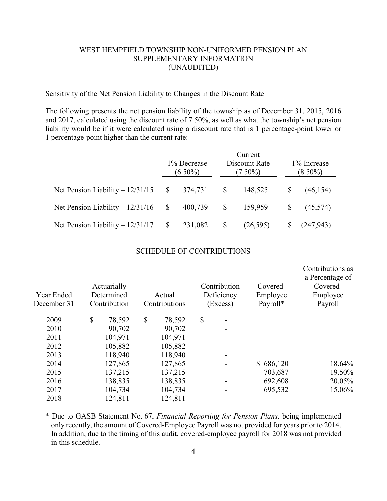#### Sensitivity of the Net Pension Liability to Changes in the Discount Rate

The following presents the net pension liability of the township as of December 31, 2015, 2016 and 2017, calculated using the discount rate of 7.50%, as well as what the township's net pension liability would be if it were calculated using a discount rate that is 1 percentage-point lower or 1 percentage-point higher than the current rate:

|                                   | 1% Decrease<br>$(6.50\%)$ |         |               | Current<br>Discount Rate<br>$(7.50\%)$ | 1\% Increase<br>$(8.50\%)$ |            |
|-----------------------------------|---------------------------|---------|---------------|----------------------------------------|----------------------------|------------|
| Net Pension Liability $-12/31/15$ | \$                        | 374,731 | $\mathbb{S}$  | 148,525                                | \$                         | (46, 154)  |
| Net Pension Liability $-12/31/16$ | \$                        | 400,739 | <sup>\$</sup> | 159,959                                | S                          | (45,574)   |
| Net Pension Liability $-12/31/17$ | \$                        | 231,082 |               | (26,595)                               |                            | (247, 943) |

#### SCHEDULE OF CONTRIBUTIONS

| Year Ended<br>December 31 | Actuarially<br>Determined<br>Contribution | Actual<br>Contributions | Contribution<br>Deficiency<br>(Excess) | Covered-<br>Employee<br>Payroll* | Contributions as<br>a Percentage of<br>Covered-<br>Employee<br>Payroll |
|---------------------------|-------------------------------------------|-------------------------|----------------------------------------|----------------------------------|------------------------------------------------------------------------|
| 2009                      | \$<br>78,592                              | \$<br>78,592            | \$                                     |                                  |                                                                        |
| 2010                      | 90,702                                    | 90,702                  |                                        |                                  |                                                                        |
| 2011                      | 104,971                                   | 104,971                 |                                        |                                  |                                                                        |
| 2012                      | 105,882                                   | 105,882                 |                                        |                                  |                                                                        |
| 2013                      | 118,940                                   | 118,940                 |                                        |                                  |                                                                        |
| 2014                      | 127,865                                   | 127,865                 |                                        | \$686,120                        | 18.64%                                                                 |
| 2015                      | 137,215                                   | 137,215                 |                                        | 703,687                          | 19.50%                                                                 |
| 2016                      | 138,835                                   | 138,835                 |                                        | 692,608                          | 20.05%                                                                 |
| 2017                      | 104,734                                   | 104,734                 |                                        | 695,532                          | 15.06%                                                                 |
| 2018                      | 124,811                                   | 124,811                 |                                        |                                  |                                                                        |

\* Due to GASB Statement No. 67, *Financial Reporting for Pension Plans,* being implemented only recently, the amount of Covered-Employee Payroll was not provided for years prior to 2014. In addition, due to the timing of this audit, covered-employee payroll for 2018 was not provided in this schedule.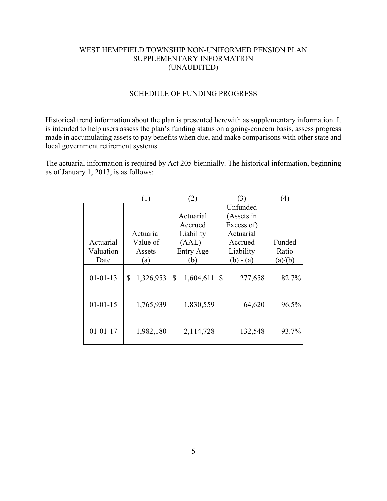## SCHEDULE OF FUNDING PROGRESS

Historical trend information about the plan is presented herewith as supplementary information. It is intended to help users assess the plan's funding status on a going-concern basis, assess progress made in accumulating assets to pay benefits when due, and make comparisons with other state and local government retirement systems.

The actuarial information is required by Act 205 biennially. The historical information, beginning as of January 1, 2013, is as follows:

|                | [ 1 )           | $^{(2)}$        | $\mathfrak{B}$ | $\left( 4\right)$ |
|----------------|-----------------|-----------------|----------------|-------------------|
|                |                 |                 | Unfunded       |                   |
|                |                 | Actuarial       | (Assets in     |                   |
|                |                 | Accrued         | Excess of)     |                   |
|                | Actuarial       | Liability       | Actuarial      |                   |
| Actuarial      | Value of        | $(AAL)$ -       | Accrued        | Funded            |
| Valuation      | Assets          | Entry Age       | Liability      | Ratio             |
| Date           | (a)             | (b)             | $(b) - (a)$    | (a)/(b)           |
| $01 - 01 - 13$ | \$<br>1,326,953 | 1,604,611<br>\$ | \$<br>277,658  | 82.7%             |
| $01 - 01 - 15$ | 1,765,939       | 1,830,559       | 64,620         | 96.5%             |
| $01 - 01 - 17$ | 1,982,180       | 2,114,728       | 132,548        | 93.7%             |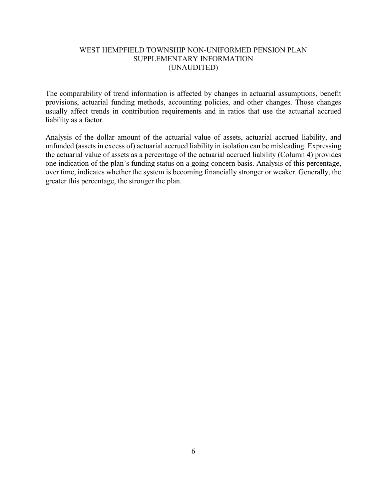The comparability of trend information is affected by changes in actuarial assumptions, benefit provisions, actuarial funding methods, accounting policies, and other changes. Those changes usually affect trends in contribution requirements and in ratios that use the actuarial accrued liability as a factor.

Analysis of the dollar amount of the actuarial value of assets, actuarial accrued liability, and unfunded (assets in excess of) actuarial accrued liability in isolation can be misleading. Expressing the actuarial value of assets as a percentage of the actuarial accrued liability (Column 4) provides one indication of the plan's funding status on a going-concern basis. Analysis of this percentage, over time, indicates whether the system is becoming financially stronger or weaker. Generally, the greater this percentage, the stronger the plan.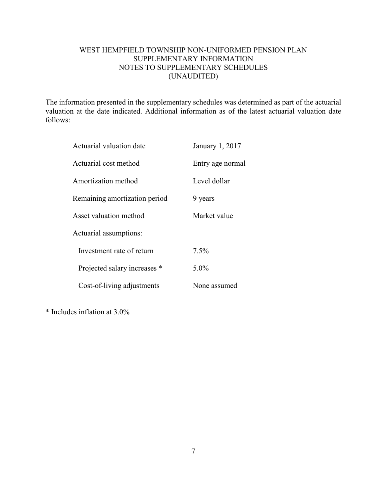## WEST HEMPFIELD TOWNSHIP NON-UNIFORMED PENSION PLAN SUPPLEMENTARY INFORMATION NOTES TO SUPPLEMENTARY SCHEDULES (UNAUDITED)

The information presented in the supplementary schedules was determined as part of the actuarial valuation at the date indicated. Additional information as of the latest actuarial valuation date follows:

| Actuarial valuation date      | January 1, 2017  |
|-------------------------------|------------------|
| Actuarial cost method         | Entry age normal |
| Amortization method           | Level dollar     |
| Remaining amortization period | 9 years          |
| Asset valuation method        | Market value     |
| Actuarial assumptions:        |                  |
| Investment rate of return     | 7.5%             |
| Projected salary increases *  | $5.0\%$          |
| Cost-of-living adjustments    | None assumed     |

\* Includes inflation at 3.0%